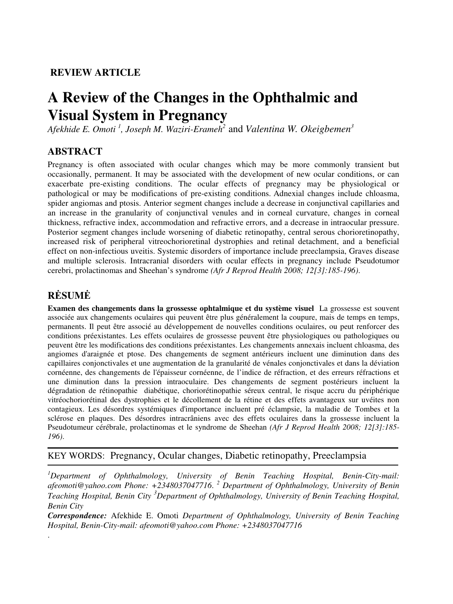## **REVIEW ARTICLE**

# **A Review of the Changes in the Ophthalmic and Visual System in Pregnancy**

*Afekhide E. Omoti <sup>1</sup> , Joseph M. Waziri-Erameh<sup>2</sup>*and *Valentina W. Okeigbemen<sup>3</sup>*

## **ABSTRACT**

Pregnancy is often associated with ocular changes which may be more commonly transient but occasionally, permanent. It may be associated with the development of new ocular conditions, or can exacerbate pre-existing conditions. The ocular effects of pregnancy may be physiological or pathological or may be modifications of pre-existing conditions. Adnexial changes include chloasma, spider angiomas and ptosis. Anterior segment changes include a decrease in conjunctival capillaries and an increase in the granularity of conjunctival venules and in corneal curvature, changes in corneal thickness, refractive index, accommodation and refractive errors, and a decrease in intraocular pressure. Posterior segment changes include worsening of diabetic retinopathy, central serous chorioretinopathy, increased risk of peripheral vitreochorioretinal dystrophies and retinal detachment, and a beneficial effect on non-infectious uveitis. Systemic disorders of importance include preeclampsia, Graves disease and multiple sclerosis. Intracranial disorders with ocular effects in pregnancy include Pseudotumor cerebri, prolactinomas and Sheehan's syndrome *(Afr J Reprod Health 2008; 12[3]:185-196)*.

## **R**Ė**SUM**Ė

.

**Examen des changements dans la grossesse ophtalmique et du système visuel** La grossesse est souvent associée aux changements oculaires qui peuvent être plus généralement la coupure, mais de temps en temps, permanents. Il peut être associé au développement de nouvelles conditions oculaires, ou peut renforcer des conditions préexistantes. Les effets oculaires de grossesse peuvent être physiologiques ou pathologiques ou peuvent être les modifications des conditions préexistantes. Les changements annexais incluent chloasma, des angiomes d'araignée et ptose. Des changements de segment antérieurs incluent une diminution dans des capillaires conjonctivales et une augmentation de la granularité de vénales conjonctivales et dans la déviation cornéenne, des changements de l'épaisseur cornéenne, de l'indice de réfraction, et des erreurs réfractions et une diminution dans la pression intraoculaire. Des changements de segment postérieurs incluent la dégradation de rétinopathie diabétique, choriorétinopathie séreux central, le risque accru du périphérique vitréochoriorétinal des dystrophies et le décollement de la rétine et des effets avantageux sur uvéites non contagieux. Les désordres systémiques d'importance incluent pré éclampsie, la maladie de Tombes et la sclérose en plaques. Des désordres intracrâniens avec des effets oculaires dans la grossesse incluent la Pseudotumeur cérébrale, prolactinomas et le syndrome de Sheehan *(Afr J Reprod Health 2008; 12[3]:185- 196)*.

#### KEY WORDS: Pregnancy, Ocular changes, Diabetic retinopathy, Preeclampsia

*<sup>1</sup>Department of Ophthalmology, University of Benin Teaching Hospital, Benin-City-mail: afeomoti@yahoo.com Phone: +2348037047716*. *<sup>2</sup> Department of Ophthalmology, University of Benin Teaching Hospital, Benin City <sup>3</sup>Department of Ophthalmology, University of Benin Teaching Hospital, Benin City* 

*Correspondence:* Afekhide E. Omoti *Department of Ophthalmology, University of Benin Teaching Hospital, Benin-City-mail: afeomoti@yahoo.com Phone: +2348037047716*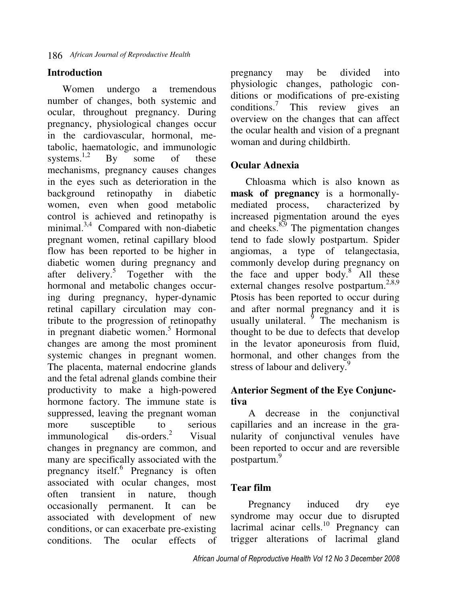## **Introduction**

Women undergo a tremendous number of changes, both systemic and ocular, throughout pregnancy. During pregnancy, physiological changes occur in the cardiovascular, hormonal, metabolic, haematologic, and immunologic<br>systems.<sup>1,2</sup> By some of these systems.<sup>1,2</sup> By some of these mechanisms, pregnancy causes changes in the eyes such as deterioration in the background retinopathy in diabetic women, even when good metabolic control is achieved and retinopathy is minimal.3,4 Compared with non-diabetic pregnant women, retinal capillary blood flow has been reported to be higher in diabetic women during pregnancy and after delivery.<sup>5</sup> Together with the hormonal and metabolic changes occuring during pregnancy, hyper-dynamic retinal capillary circulation may contribute to the progression of retinopathy in pregnant diabetic women.<sup>5</sup> Hormonal changes are among the most prominent systemic changes in pregnant women. The placenta, maternal endocrine glands and the fetal adrenal glands combine their productivity to make a high-powered hormone factory. The immune state is suppressed, leaving the pregnant woman more susceptible to serious<br>immunological dis-orders.<sup>2</sup> Visual immunological Visual changes in pregnancy are common, and many are specifically associated with the pregnancy itself.<sup>6</sup> Pregnancy is often associated with ocular changes, most often transient in nature, though occasionally permanent. It can be associated with development of new conditions, or can exacerbate pre-existing<br>conditions. The ocular effects of conditions. The ocular effects of

pregnancy may be divided into physiologic changes, pathologic conditions or modifications of pre-existing conditions.<sup>7</sup> This review gives an overview on the changes that can affect the ocular health and vision of a pregnant woman and during childbirth.

#### **Ocular Adnexia**

Chloasma which is also known as **mask of pregnancy** is a hormonallymediated process, characterized by increased pigmentation around the eyes and cheeks. $8,9$  The pigmentation changes tend to fade slowly postpartum. Spider angiomas, a type of telangectasia, commonly develop during pregnancy on the face and upper body.<sup>8</sup> All these external changes resolve postpartum.<sup>2,8,9</sup> Ptosis has been reported to occur during and after normal pregnancy and it is usually unilateral.  $\frac{9}{9}$  The mechanism is thought to be due to defects that develop in the levator aponeurosis from fluid, hormonal, and other changes from the stress of labour and delivery.<sup>9</sup>

## **Anterior Segment of the Eye Conjunctiva**

 A decrease in the conjunctival capillaries and an increase in the granularity of conjunctival venules have been reported to occur and are reversible postpartum.<sup>9</sup>

## **Tear film**

 Pregnancy induced dry eye syndrome may occur due to disrupted  $lacirinal acinar cells.<sup>10</sup> Pregnancy can$ trigger alterations of lacrimal gland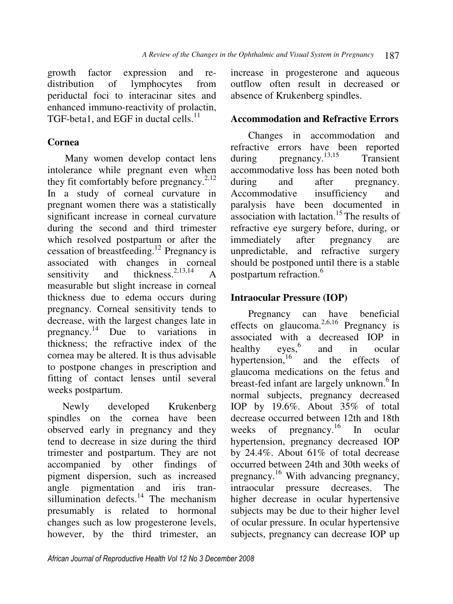growth factor expression and redistribution of lymphocytes from periductal foci to interacinar sites and enhanced immuno-reactivity of prolactin, TGF-beta1, and EGF in ductal cells. $^{11}$ 

## **Cornea**

 Many women develop contact lens intolerance while pregnant even when they fit comfortably before pregnancy.<sup>2,12</sup> In a study of corneal curvature in pregnant women there was a statistically significant increase in corneal curvature during the second and third trimester which resolved postpartum or after the cessation of breastfeeding.<sup>12</sup> Pregnancy is associated with changes in corneal sensitivity and thickness.  $2,13,14$  A measurable but slight increase in corneal thickness due to edema occurs during pregnancy. Corneal sensitivity tends to decrease, with the largest changes late in pregnancy.<sup>14</sup> Due to variations in thickness; the refractive index of the cornea may be altered. It is thus advisable to postpone changes in prescription and fitting of contact lenses until several weeks postpartum.

Newly developed Krukenberg spindles on the cornea have been observed early in pregnancy and they tend to decrease in size during the third trimester and postpartum. They are not accompanied by other findings of pigment dispersion, such as increased angle pigmentation and iris transillumination defects.<sup>14</sup> The mechanism presumably is related to hormonal changes such as low progesterone levels, however, by the third trimester, an

increase in progesterone and aqueous outflow often result in decreased or absence of Krukenberg spindles.

## **Accommodation and Refractive Errors**

 Changes in accommodation and refractive errors have been reported during pregnancy. $13,15$  Transient accommodative loss has been noted both during and after pregnancy. Accommodative insufficiency and paralysis have been documented in association with lactation.<sup>15</sup> The results of refractive eye surgery before, during, or immediately after pregnancy are unpredictable, and refractive surgery should be postponed until there is a stable postpartum refraction.<sup>6</sup>

## **Intraocular Pressure (IOP)**

 Pregnancy can have beneficial effects on glaucoma.<sup>2,6,16</sup> Pregnancy is associated with a decreased IOP in<br>healthy eyes.<sup>6</sup> and in ocular healthy and in ocular hypertension, $16$  and the effects of glaucoma medications on the fetus and breast-fed infant are largely unknown.<sup>6</sup> In normal subjects, pregnancy decreased IOP by 19.6%. About 35% of total decrease occurred between 12th and 18th weeks of pregnancy.<sup>16</sup> In ocular hypertension, pregnancy decreased IOP by 24.4%. About 61% of total decrease occurred between 24th and 30th weeks of pregnancy.<sup>16</sup> With advancing pregnancy, intraocular pressure decreases. The higher decrease in ocular hypertensive subjects may be due to their higher level of ocular pressure. In ocular hypertensive subjects, pregnancy can decrease IOP up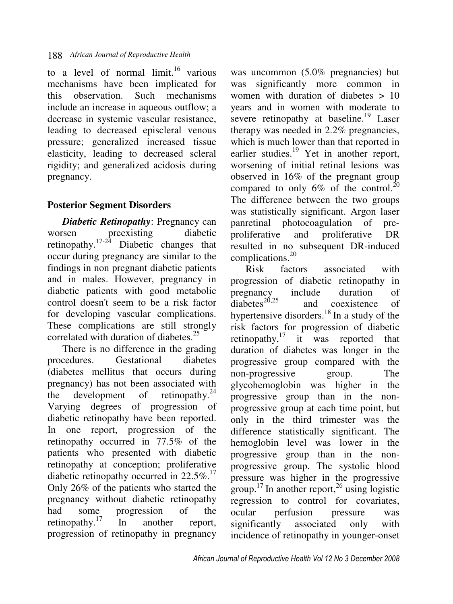to a level of normal  $\text{limit.}^{16}$  various mechanisms have been implicated for this observation. Such mechanisms include an increase in aqueous outflow; a decrease in systemic vascular resistance, leading to decreased episcleral venous pressure; generalized increased tissue elasticity, leading to decreased scleral rigidity; and generalized acidosis during pregnancy.

## **Posterior Segment Disorders**

*Diabetic Retinopathy*: Pregnancy can worsen preexisting diabetic retinopathy. $17-24$  Diabetic changes that occur during pregnancy are similar to the findings in non pregnant diabetic patients and in males. However, pregnancy in diabetic patients with good metabolic control doesn't seem to be a risk factor for developing vascular complications. These complications are still strongly correlated with duration of diabetes.<sup>25</sup>

There is no difference in the grading procedures. Gestational diabetes (diabetes mellitus that occurs during pregnancy) has not been associated with the development of retinopathy. $^{24}$ Varying degrees of progression of diabetic retinopathy have been reported. In one report, progression of the retinopathy occurred in 77.5% of the patients who presented with diabetic retinopathy at conception; proliferative diabetic retinopathy occurred in  $22.5\%$ .<sup>17</sup> Only 26% of the patients who started the pregnancy without diabetic retinopathy had some progression of the retinopathy. $17$  In another report, progression of retinopathy in pregnancy

was uncommon (5.0% pregnancies) but was significantly more common in women with duration of diabetes > 10 years and in women with moderate to severe retinopathy at baseline.<sup>19</sup> Laser therapy was needed in 2.2% pregnancies, which is much lower than that reported in earlier studies.<sup>19</sup> Yet in another report, worsening of initial retinal lesions was observed in 16% of the pregnant group compared to only  $6\%$  of the control.<sup>20</sup> The difference between the two groups was statistically significant. Argon laser panretinal photocoagulation of preproliferative and proliferative DR resulted in no subsequent DR-induced complications.<sup>20</sup>

Risk factors associated with progression of diabetic retinopathy in pregnancy include duration of diabetes<sup>20,25</sup> and coexistence of and coexistence of hypertensive disorders. $18$  In a study of the risk factors for progression of diabetic retinopathy, $17$  it was reported that duration of diabetes was longer in the progressive group compared with the non-progressive group. The glycohemoglobin was higher in the progressive group than in the nonprogressive group at each time point, but only in the third trimester was the difference statistically significant. The hemoglobin level was lower in the progressive group than in the nonprogressive group. The systolic blood pressure was higher in the progressive group.<sup>17</sup> In another report,<sup>26</sup> using logistic regression to control for covariates, ocular perfusion pressure was significantly associated only with incidence of retinopathy in younger-onset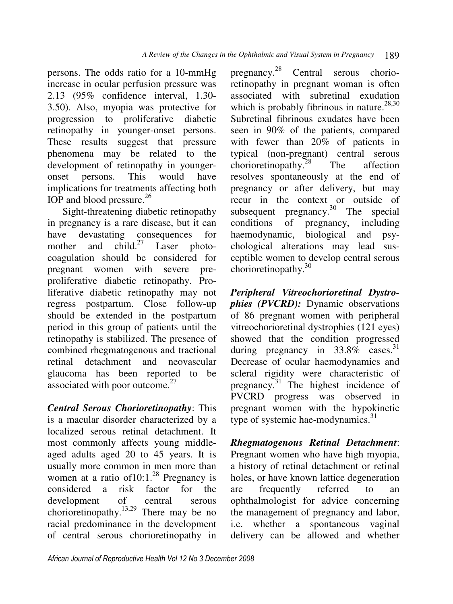persons. The odds ratio for a 10-mmHg increase in ocular perfusion pressure was 2.13 (95% confidence interval, 1.30- 3.50). Also, myopia was protective for progression to proliferative diabetic retinopathy in younger-onset persons. These results suggest that pressure phenomena may be related to the development of retinopathy in youngeronset persons. This would have implications for treatments affecting both IOP and blood pressure.<sup>26</sup>

Sight-threatening diabetic retinopathy in pregnancy is a rare disease, but it can have devastating consequences for mother and  $child.^{27}$  Laser photocoagulation should be considered for pregnant women with severe preproliferative diabetic retinopathy. Proliferative diabetic retinopathy may not regress postpartum. Close follow-up should be extended in the postpartum period in this group of patients until the retinopathy is stabilized. The presence of combined rhegmatogenous and tractional retinal detachment and neovascular glaucoma has been reported to be associated with poor outcome. $27$ 

*Central Serous Chorioretinopathy*: This is a macular disorder characterized by a localized serous retinal detachment. It most commonly affects young middleaged adults aged 20 to 45 years. It is usually more common in men more than women at a ratio of  $10:1.^{28}$  Pregnancy is considered a risk factor for the development of central serous chorioretinopathy.13,29 There may be no racial predominance in the development of central serous chorioretinopathy in

pregnancy.<sup>28</sup> Central serous chorioretinopathy in pregnant woman is often associated with subretinal exudation which is probably fibrinous in nature.<sup>28,30</sup> Subretinal fibrinous exudates have been seen in 90% of the patients, compared with fewer than 20% of patients in typical (non-pregnant) central serous  $\arctan$  chorioretinopathy.<sup>28</sup> The affection resolves spontaneously at the end of pregnancy or after delivery, but may recur in the context or outside of subsequent pregnancy. $30$  The special conditions of pregnancy, including haemodynamic, biological and psychological alterations may lead susceptible women to develop central serous chorioretinopathy.<sup>30</sup>

*Peripheral Vitreochorioretinal Dystrophies (PVCRD):* Dynamic observations of 86 pregnant women with peripheral vitreochorioretinal dystrophies (121 eyes) showed that the condition progressed during pregnancy in  $33.8\%$  cases.<sup>31</sup> Decrease of ocular haemodynamics and scleral rigidity were characteristic of pregnancy. $31$  The highest incidence of PVCRD progress was observed in pregnant women with the hypokinetic type of systemic hae-modynamics.<sup>31</sup>

*Rhegmatogenous Retinal Detachment*: Pregnant women who have high myopia, a history of retinal detachment or retinal holes, or have known lattice degeneration are frequently referred to an ophthalmologist for advice concerning the management of pregnancy and labor, i.e. whether a spontaneous vaginal delivery can be allowed and whether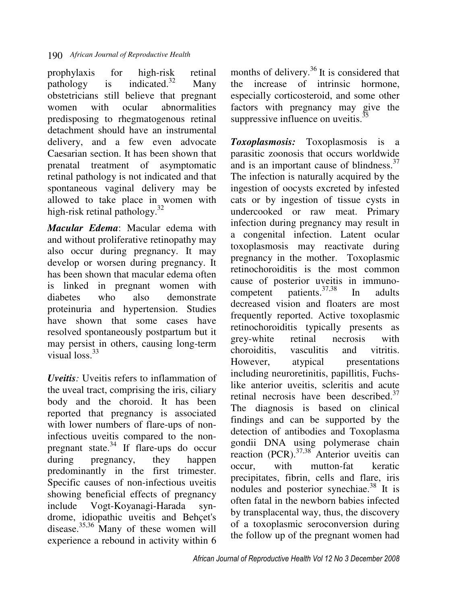prophylaxis for high-risk retinal pathology is indicated.<sup>32</sup> Many obstetricians still believe that pregnant women with ocular abnormalities predisposing to rhegmatogenous retinal detachment should have an instrumental delivery, and a few even advocate Caesarian section. It has been shown that prenatal treatment of asymptomatic retinal pathology is not indicated and that spontaneous vaginal delivery may be allowed to take place in women with high-risk retinal pathology.<sup>32</sup>

*Macular Edema*: Macular edema with and without proliferative retinopathy may also occur during pregnancy. It may develop or worsen during pregnancy. It has been shown that macular edema often is linked in pregnant women with diabetes who also demonstrate proteinuria and hypertension. Studies have shown that some cases have resolved spontaneously postpartum but it may persist in others, causing long-term visual  $\log^{33}$ 

*Uveitis:* Uveitis refers to inflammation of the uveal tract, comprising the iris, ciliary body and the choroid. It has been reported that pregnancy is associated with lower numbers of flare-ups of noninfectious uveitis compared to the nonpregnant state. $34$  If flare-ups do occur during pregnancy, they happen predominantly in the first trimester. Specific causes of non-infectious uveitis showing beneficial effects of pregnancy include Vogt-Koyanagi-Harada syndrome, idiopathic uveitis and Behçet's disease. $\frac{35,36}{10}$  Many of these women will experience a rebound in activity within 6

months of delivery.<sup>36</sup> It is considered that the increase of intrinsic hormone, especially corticosteroid, and some other factors with pregnancy may give the suppressive influence on uveitis. $35$ 

*Toxoplasmosis:* Toxoplasmosis is a parasitic zoonosis that occurs worldwide and is an important cause of blindness.<sup>37</sup> The infection is naturally acquired by the ingestion of oocysts excreted by infested cats or by ingestion of tissue cysts in undercooked or raw meat. Primary infection during pregnancy may result in a congenital infection. Latent ocular toxoplasmosis may reactivate during pregnancy in the mother. Toxoplasmic retinochoroiditis is the most common cause of posterior uveitis in immuno-<br>competent patients  $37,38$  In adults competent patients. $37,38$  In adults decreased vision and floaters are most frequently reported. Active toxoplasmic retinochoroiditis typically presents as grey-white retinal necrosis with choroiditis, vasculitis and vitritis. However, atypical presentations including neuroretinitis, papillitis, Fuchslike anterior uveitis, scleritis and acute retinal necrosis have been described.<sup>37</sup> The diagnosis is based on clinical findings and can be supported by the detection of antibodies and Toxoplasma gondii DNA using polymerase chain reaction (PCR).<sup>37,38</sup> Anterior uveitis can occur, with mutton-fat keratic precipitates, fibrin, cells and flare, iris nodules and posterior synechiae.<sup>38</sup> It is often fatal in the newborn babies infected by transplacental way, thus, the discovery of a toxoplasmic seroconversion during the follow up of the pregnant women had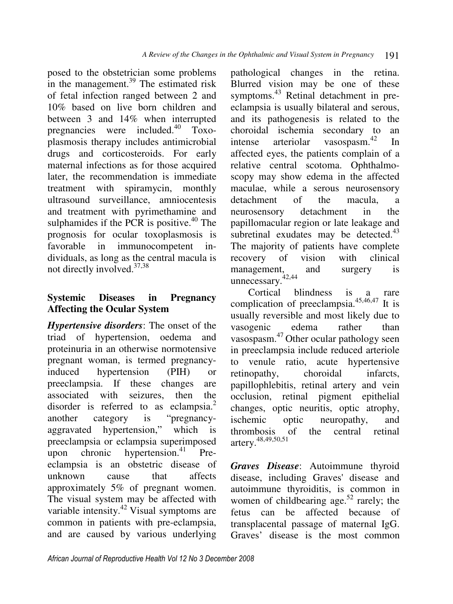posed to the obstetrician some problems in the management.<sup>39</sup> The estimated risk of fetal infection ranged between 2 and 10% based on live born children and between 3 and 14% when interrupted pregnancies were included.<sup>40</sup> Toxoplasmosis therapy includes antimicrobial drugs and corticosteroids. For early maternal infections as for those acquired later, the recommendation is immediate treatment with spiramycin, monthly ultrasound surveillance, amniocentesis and treatment with pyrimethamine and sulphamides if the PCR is positive. $40$  The prognosis for ocular toxoplasmosis is favorable in immunocompetent individuals, as long as the central macula is not directly involved.37,38

## **Systemic Diseases in Pregnancy Affecting the Ocular System**

*Hypertensive disorders*: The onset of the triad of hypertension, oedema and proteinuria in an otherwise normotensive pregnant woman, is termed pregnancyinduced hypertension (PIH) or preeclampsia. If these changes are associated with seizures, then the disorder is referred to as eclampsia.<sup>2</sup> another category is "pregnancyaggravated hypertension," which is preeclampsia or eclampsia superimposed upon chronic hypertension. $41$  Preeclampsia is an obstetric disease of unknown cause that affects approximately 5% of pregnant women. The visual system may be affected with variable intensity.<sup>42</sup> Visual symptoms are common in patients with pre-eclampsia, and are caused by various underlying

pathological changes in the retina. Blurred vision may be one of these symptoms.<sup>43</sup> Retinal detachment in preeclampsia is usually bilateral and serous, and its pathogenesis is related to the choroidal ischemia secondary to an intense arteriolar vasospasm.<sup>42</sup> In affected eyes, the patients complain of a relative central scotoma. Ophthalmoscopy may show edema in the affected maculae, while a serous neurosensory detachment of the macula, a neurosensory detachment in the papillomacular region or late leakage and subretinal exudates may be detected. $43$ The majority of patients have complete recovery of vision with clinical management, and surgery is unnecessary. $42,44$ 

 Cortical blindness is a rare complication of preeclampsia. $45,46,47$  It is usually reversible and most likely due to vasogenic edema rather than vasospasm. <sup>47</sup>Other ocular pathology seen in preeclampsia include reduced arteriole to venule ratio, acute hypertensive retinopathy, choroidal infarcts, papillophlebitis, retinal artery and vein occlusion, retinal pigment epithelial changes, optic neuritis, optic atrophy, ischemic optic neuropathy, and thrombosis of the central retinal artery.48,49,50,51

*Graves Disease*: Autoimmune thyroid disease, including Graves' disease and autoimmune thyroiditis, is common in women of childbearing age.<sup>52</sup> rarely; the fetus can be affected because of transplacental passage of maternal IgG. Graves' disease is the most common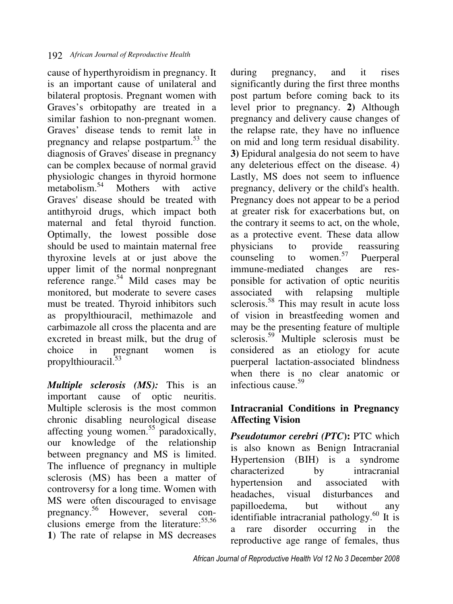cause of hyperthyroidism in pregnancy. It is an important cause of unilateral and bilateral proptosis. Pregnant women with Graves's orbitopathy are treated in a similar fashion to non-pregnant women. Graves' disease tends to remit late in pregnancy and relapse postpartum.<sup>53</sup> the diagnosis of Graves' disease in pregnancy can be complex because of normal gravid physiologic changes in thyroid hormone<br>metabolism.<sup>54</sup> Mothers with active Mothers with active Graves' disease should be treated with antithyroid drugs, which impact both maternal and fetal thyroid function. Optimally, the lowest possible dose should be used to maintain maternal free thyroxine levels at or just above the upper limit of the normal nonpregnant reference range.<sup>54</sup> Mild cases may be monitored, but moderate to severe cases must be treated. Thyroid inhibitors such as propylthiouracil, methimazole and carbimazole all cross the placenta and are excreted in breast milk, but the drug of choice in pregnant women is propylthiouracil.<sup>53</sup>

*Multiple sclerosis (MS):* This is an important cause of optic neuritis. Multiple sclerosis is the most common chronic disabling neurological disease affecting young women.<sup>55</sup> paradoxically, our knowledge of the relationship between pregnancy and MS is limited. The influence of pregnancy in multiple sclerosis (MS) has been a matter of controversy for a long time. Women with MS were often discouraged to envisage pregnancy. <sup>56</sup> However, several conclusions emerge from the literature: 55,56 **1**) The rate of relapse in MS decreases

during pregnancy, and it rises significantly during the first three months post partum before coming back to its level prior to pregnancy. **2)** Although pregnancy and delivery cause changes of the relapse rate, they have no influence on mid and long term residual disability. **3)** Epidural analgesia do not seem to have any deleterious effect on the disease. 4) Lastly, MS does not seem to influence pregnancy, delivery or the child's health. Pregnancy does not appear to be a period at greater risk for exacerbations but, on the contrary it seems to act, on the whole, as a protective event. These data allow physicians to provide reassuring<br>counseling to women.<sup>57</sup> Puerneral counseling to women. $57$  Puerperal immune-mediated changes are responsible for activation of optic neuritis associated with relapsing multiple sclerosis.<sup>58</sup> This may result in acute loss of vision in breastfeeding women and may be the presenting feature of multiple sclerosis.<sup>59</sup> Multiple sclerosis must be considered as an etiology for acute puerperal lactation-associated blindness when there is no clear anatomic or infectious cause.<sup>59</sup>

### **Intracranial Conditions in Pregnancy Affecting Vision**

*Pseudotumor cerebri (PTC***):** PTC which is also known as Benign Intracranial Hypertension (BIH) is a syndrome characterized by intracranial hypertension and associated with headaches, visual disturbances and papilloedema, but without any identifiable intracranial pathology. $^{60}$  It is a rare disorder occurring in the reproductive age range of females, thus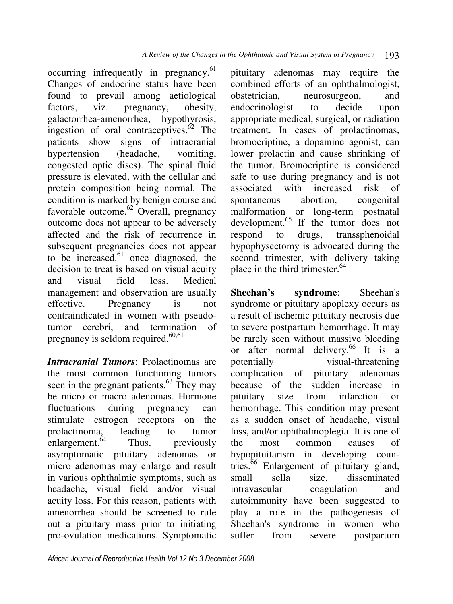occurring infrequently in pregnancy.<sup>61</sup> Changes of endocrine status have been found to prevail among aetiological factors, viz. pregnancy, obesity, galactorrhea-amenorrhea, hypothyrosis, ingestion of oral contraceptives. $62$  The patients show signs of intracranial hypertension (headache, vomiting, congested optic discs). The spinal fluid pressure is elevated, with the cellular and protein composition being normal. The condition is marked by benign course and favorable outcome.<sup>62</sup> Overall, pregnancy outcome does not appear to be adversely affected and the risk of recurrence in subsequent pregnancies does not appear to be increased. $61$  once diagnosed, the decision to treat is based on visual acuity and visual field loss. Medical management and observation are usually effective. Pregnancy is not contraindicated in women with pseudotumor cerebri, and termination of pregnancy is seldom required. $60,61$ 

*Intracranial Tumors*: Prolactinomas are the most common functioning tumors seen in the pregnant patients. $63$  They may be micro or macro adenomas. Hormone fluctuations during pregnancy can stimulate estrogen receptors on the prolactinoma, leading to tumor enlargement. $64$  Thus, previously asymptomatic pituitary adenomas or micro adenomas may enlarge and result in various ophthalmic symptoms, such as headache, visual field and/or visual acuity loss. For this reason, patients with amenorrhea should be screened to rule out a pituitary mass prior to initiating pro-ovulation medications. Symptomatic

pituitary adenomas may require the combined efforts of an ophthalmologist, obstetrician, neurosurgeon, and endocrinologist to decide upon appropriate medical, surgical, or radiation treatment. In cases of prolactinomas, bromocriptine, a dopamine agonist, can lower prolactin and cause shrinking of the tumor. Bromocriptine is considered safe to use during pregnancy and is not associated with increased risk of spontaneous abortion, congenital malformation or long-term postnatal  $development.<sup>65</sup>$  If the tumor does not respond to drugs, transsphenoidal hypophysectomy is advocated during the second trimester, with delivery taking place in the third trimester.<sup>64</sup>

**Sheehan's syndrome**: Sheehan's syndrome or pituitary apoplexy occurs as a result of ischemic pituitary necrosis due to severe postpartum hemorrhage. It may be rarely seen without massive bleeding or after normal delivery.<sup>66</sup> It is a potentially visual-threatening complication of pituitary adenomas because of the sudden increase in pituitary size from infarction or hemorrhage. This condition may present as a sudden onset of headache, visual loss, and/or ophthalmoplegia. It is one of the most common causes of hypopituitarism in developing countries. $66$  Enlargement of pituitary gland, small sella size, disseminated intravascular coagulation and autoimmunity have been suggested to play a role in the pathogenesis of Sheehan's syndrome in women who suffer from severe postpartum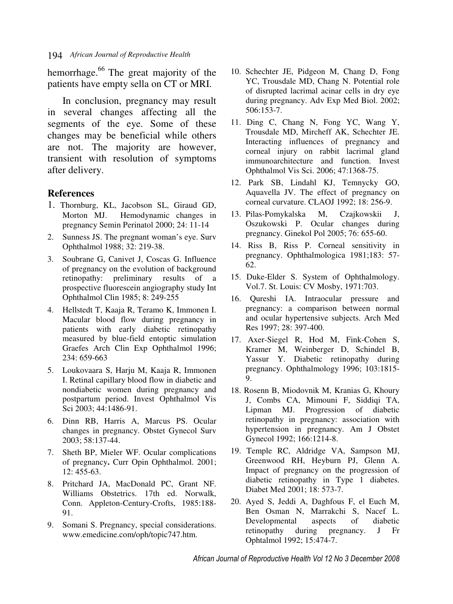hemorrhage.<sup>66</sup> The great majority of the patients have empty sella on CT or MRI.

In conclusion, pregnancy may result in several changes affecting all the segments of the eye. Some of these changes may be beneficial while others are not. The majority are however, transient with resolution of symptoms after delivery.

#### **References**

- 1. Thornburg, KL, Jacobson SL, Giraud GD, Morton MJ. Hemodynamic changes in pregnancy Semin Perinatol 2000; 24: 11-14
- 2. Sunness JS. The pregnant woman's eye. Surv Ophthalmol 1988; 32: 219-38.
- 3. Soubrane G, Canivet J, Coscas G. Influence of pregnancy on the evolution of background retinopathy: preliminary results of a prospective fluorescein angiography study Int Ophthalmol Clin 1985; 8: 249-255
- 4. Hellstedt T, Kaaja R, Teramo K, Immonen I. Macular blood flow during pregnancy in patients with early diabetic retinopathy measured by blue-field entoptic simulation Graefes Arch Clin Exp Ophthalmol 1996; 234: 659-663
- 5. Loukovaara S, Harju M, Kaaja R, Immonen I. Retinal capillary blood flow in diabetic and nondiabetic women during pregnancy and postpartum period. Invest Ophthalmol Vis Sci 2003; 44:1486-91.
- 6. Dinn RB, Harris A, Marcus PS. Ocular changes in pregnancy. Obstet Gynecol Surv 2003; 58:137-44.
- 7. Sheth BP, Mieler WF. Ocular complications of pregnancy**.** Curr Opin Ophthalmol. 2001; 12: 455-63.
- 8. Pritchard JA, MacDonald PC, Grant NF. Williams Obstetrics. 17th ed. Norwalk, Conn. Appleton-Century-Crofts, 1985:188- 91.
- 9. Somani S. Pregnancy, special considerations. www.emedicine.com/oph/topic747.htm.
- 10. Schechter JE, Pidgeon M, Chang D, Fong YC, Trousdale MD, Chang N. Potential role of disrupted lacrimal acinar cells in dry eye during pregnancy. Adv Exp Med Biol. 2002; 506:153-7.
- 11. Ding C, Chang N, Fong YC, Wang Y, Trousdale MD, Mircheff AK, Schechter JE. Interacting influences of pregnancy and corneal injury on rabbit lacrimal gland immunoarchitecture and function. Invest Ophthalmol Vis Sci. 2006; 47:1368-75.
- 12. Park SB, Lindahl KJ, Temnycky GO, Aquavella JV. The effect of pregnancy on corneal curvature. CLAOJ 1992; 18: 256-9.
- 13. Pilas-Pomykalska M, Czajkowskii J, Oszukowski P. Ocular changes during pregnancy. Ginekol Pol 2005; 76: 655-60.
- 14. Riss B, Riss P. Corneal sensitivity in pregnancy. Ophthalmologica 1981;183: 57- 62.
- 15. Duke-Elder S. System of Ophthalmology. Vol.7. St. Louis: CV Mosby, 1971:703.
- 16. Qureshi IA. Intraocular pressure and pregnancy: a comparison between normal and ocular hypertensive subjects. Arch Med Res 1997; 28: 397-400.
- 17. Axer-Siegel R, Hod M, Fink-Cohen S, Kramer M, Weinberger D, Schindel B, Yassur Y. Diabetic retinopathy during pregnancy. Ophthalmology 1996; 103:1815- 9.
- 18. Rosenn B, Miodovnik M, Kranias G, Khoury J, Combs CA, Mimouni F, Siddiqi TA, Lipman MJ. Progression of diabetic retinopathy in pregnancy: association with hypertension in pregnancy. Am J Obstet Gynecol 1992; 166:1214-8.
- 19. Temple RC, Aldridge VA, Sampson MJ, Greenwood RH, Heyburn PJ, Glenn A. Impact of pregnancy on the progression of diabetic retinopathy in Type 1 diabetes. Diabet Med 2001; 18: 573-7.
- 20. Ayed S, Jeddi A, Daghfous F, el Euch M, Ben Osman N, Marrakchi S, Nacef L. Developmental aspects of diabetic retinopathy during pregnancy. J Fr Ophtalmol 1992; 15:474-7.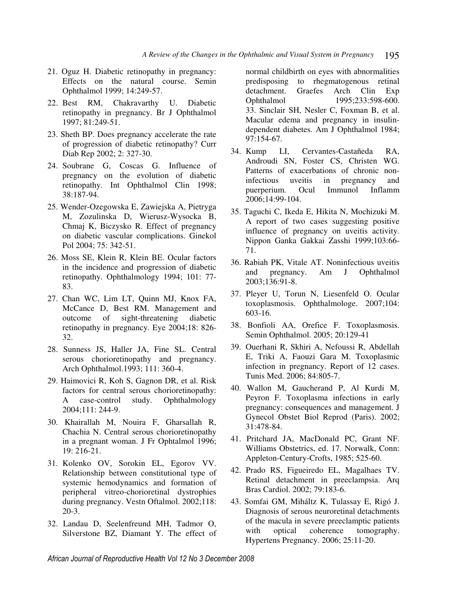- 21. Oguz H. Diabetic retinopathy in pregnancy: Effects on the natural course. Semin Ophthalmol 1999; 14:249-57.
- 22. Best RM, Chakravarthy U. Diabetic retinopathy in pregnancy. Br J Ophthalmol 1997; 81:249-51.
- 23. Sheth BP. Does pregnancy accelerate the rate of progression of diabetic retinopathy? Curr Diab Rep 2002; 2: 327-30.
- 24. Soubrane G, Coscas G. Influence of pregnancy on the evolution of diabetic retinopathy. Int Ophthalmol Clin 1998; 38:187-94.
- 25. Wender-Ozegowska E, Zawiejska A, Pietryga M, Zozulinska D, Wierusz-Wysocka B, Chmaj K, Biczysko R. Effect of pregnancy on diabetic vascular complications. Ginekol Pol 2004; 75: 342-51.
- 26. Moss SE, Klein R, Klein BE. Ocular factors in the incidence and progression of diabetic retinopathy. Ophthalmology 1994; 101: 77- 83.
- 27. Chan WC, Lim LT, Quinn MJ, Knox FA, McCance D, Best RM. Management and outcome of sight-threatening diabetic retinopathy in pregnancy. Eye 2004;18: 826- 32.
- 28. Sunness JS, Haller JA, Fine SL. Central serous chorioretinopathy and pregnancy. Arch Ophthalmol.1993; 111: 360-4.
- 29. Haimovici R, Koh S, Gagnon DR, et al. Risk factors for central serous chorioretinopathy: A case-control study. Ophthalmology 2004;111: 244-9.
- 30. Khairallah M, Nouira F, Gharsallah R, Chachia N. Central serous chorioretinopathy in a pregnant woman. J Fr Ophtalmol 1996; 19: 216-21.
- 31. Kolenko OV, Sorokin EL, Egorov VV. Relationship between constitutional type of systemic hemodynamics and formation of peripheral vitreo-chorioretinal dystrophies during pregnancy. Vestn Oftalmol. 2002;118: 20-3.
- 32. Landau D, Seelenfreund MH, Tadmor O, Silverstone BZ, Diamant Y. The effect of

normal childbirth on eyes with abnormalities predisposing to rhegmatogenous retinal detachment. Graefes Arch Clin Exp Ophthalmol 1995;233:598-600. 33. Sinclair SH, Nesler C, Foxman B, et al. Macular edema and pregnancy in insulindependent diabetes. Am J Ophthalmol 1984; 97:154-67.

- 34. Kump LI, Cervantes-Castañeda RA, Androudi SN, Foster CS, Christen WG. Patterns of exacerbations of chronic noninfectious uveitis in pregnancy and puerperium. Ocul Immunol Inflamm 2006;14:99-104.
- 35. Taguchi C, Ikeda E, Hikita N, Mochizuki M. A report of two cases suggesting positive influence of pregnancy on uveitis activity. Nippon Ganka Gakkai Zasshi 1999;103:66- 71.
- 36. Rabiah PK, Vitale AT. Noninfectious uveitis and pregnancy. Am J Ophthalmol 2003;136:91-8.
- 37. Pleyer U, Torun N, Liesenfeld O. Ocular toxoplasmosis. Ophthalmologe. 2007;104: 603-16.
- 38. Bonfioli AA, Orefice F. Toxoplasmosis. Semin Ophthalmol. 2005; 20:129-41
- 39. Ouerhani R, Skhiri A, Nefoussi R, Abdellah E, Triki A, Faouzi Gara M. Toxoplasmic infection in pregnancy. Report of 12 cases. Tunis Med. 2006; 84:805-7.
- 40. Wallon M, Gaucherand P, Al Kurdi M, Peyron F. Toxoplasma infections in early pregnancy: consequences and management. J Gynecol Obstet Biol Reprod (Paris). 2002; 31:478-84.
- 41. Pritchard JA, MacDonald PC, Grant NF. Williams Obstetrics, ed. 17. Norwalk, Conn: Appleton-Century-Crofts, 1985; 525-60.
- 42. Prado RS, Figueiredo EL, Magalhaes TV. Retinal detachment in preeclampsia. Arq Bras Cardiol. 2002; 79:183-6.
- 43. Somfai GM, Miháltz K, Tulassay E, Rigó J. Diagnosis of serous neuroretinal detachments of the macula in severe preeclamptic patients with optical coherence tomography. Hypertens Pregnancy. 2006; 25:11-20.